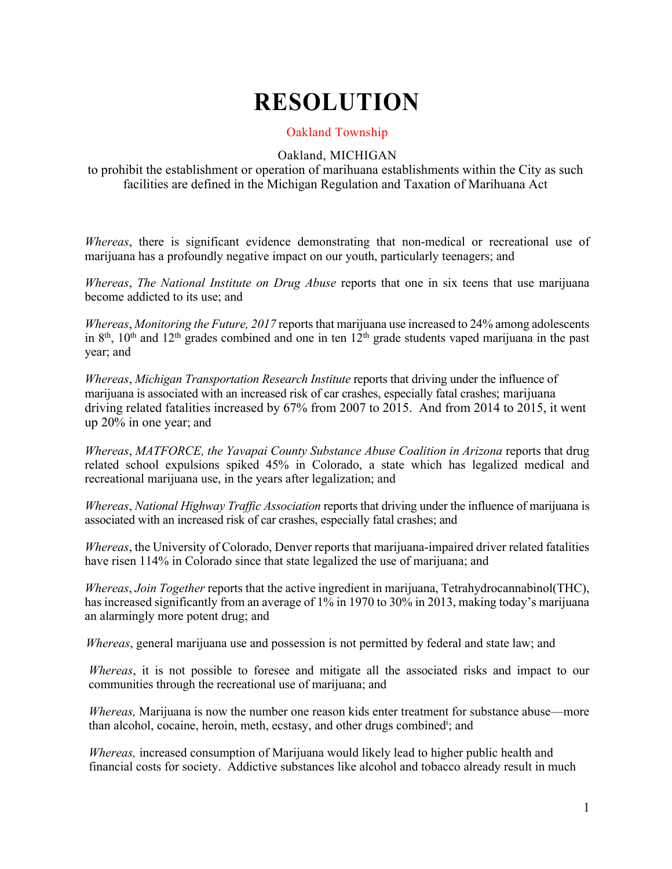## **RESOLUTION**

## Oakland Township

## Oakland, MICHIGAN

to prohibit the establishment or operation of marihuana establishments within the City as such facilities are defined in the Michigan Regulation and Taxation of Marihuana Act

*Whereas*, there is significant evidence demonstrating that non-medical or recreational use of marijuana has a profoundly negative impact on our youth, particularly teenagers; and

*Whereas*, *The National Institute on Drug Abuse* reports that one in six teens that use marijuana become addicted to its use; and

*Whereas*, *Monitoring the Future, 2017* reports that marijuana use increased to 24% among adolescents in  $8<sup>th</sup>$ ,  $10<sup>th</sup>$  and  $12<sup>th</sup>$  grades combined and one in ten  $12<sup>th</sup>$  grade students vaped marijuana in the past year; and

*Whereas*, *Michigan Transportation Research Institute* reports that driving under the influence of marijuana is associated with an increased risk of car crashes, especially fatal crashes; marijuana driving related fatalities increased by 67% from 2007 to 2015. And from 2014 to 2015, it went up 20% in one year; and

*Whereas*, *MATFORCE, the Yavapai County Substance Abuse Coalition in Arizona* reports that drug related school expulsions spiked 45% in Colorado, a state which has legalized medical and recreational marijuana use, in the years after legalization; and

*Whereas*, *National Highway Traffic Association* reports that driving under the influence of marijuana is associated with an increased risk of car crashes, especially fatal crashes; and

*Whereas*, the University of Colorado, Denver reports that marijuana-impaired driver related fatalities have risen 114% in Colorado since that state legalized the use of marijuana; and

*Whereas*, *Join Together* reports that the active ingredient in marijuana, Tetrahydrocannabinol(THC), has increased significantly from an average of 1% in 1970 to 30% in 2013, making today's marijuana an alarmingly more potent drug; and

*Whereas*, general marijuana use and possession is not permitted by federal and state law; and

*Whereas*, it is not possible to foresee and mitigate all the associated risks and impact to our communities through the recreational use of marijuana; and

*Whereas,* Marijuana is now the number one reason kids enter treatment for substance abuse—more than alcohol, cocaine, heroin, meth, ecstasy, and other drugs combined<sup>i</sup>; and

*Whereas,* increased consumption of Marijuana would likely lead to higher public health and financial costs for society. Addictive substances like alcohol and tobacco already result in much